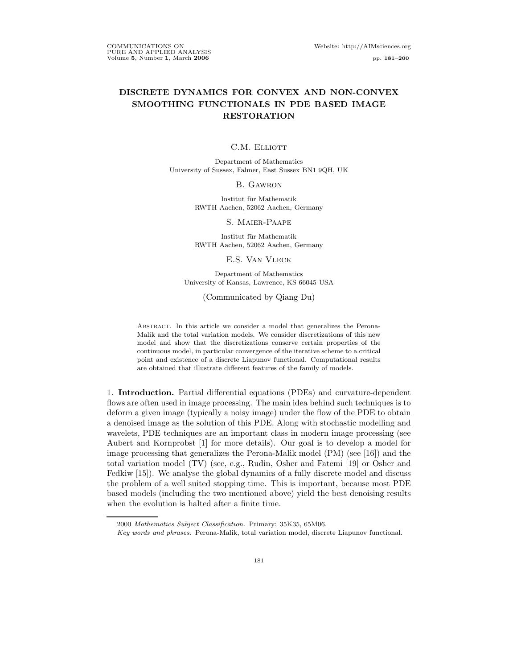# DISCRETE DYNAMICS FOR CONVEX AND NON-CONVEX SMOOTHING FUNCTIONALS IN PDE BASED IMAGE RESTORATION

C.M. ELLIOTT

Department of Mathematics University of Sussex, Falmer, East Sussex BN1 9QH, UK

B. Gawron

Institut für Mathematik RWTH Aachen, 52062 Aachen, Germany

S. Maier-Paape

Institut für Mathematik RWTH Aachen, 52062 Aachen, Germany

E.S. Van Vleck

Department of Mathematics University of Kansas, Lawrence, KS 66045 USA

(Communicated by Qiang Du)

Abstract. In this article we consider a model that generalizes the Perona-Malik and the total variation models. We consider discretizations of this new model and show that the discretizations conserve certain properties of the continuous model, in particular convergence of the iterative scheme to a critical point and existence of a discrete Liapunov functional. Computational results are obtained that illustrate different features of the family of models.

1. Introduction. Partial differential equations (PDEs) and curvature-dependent flows are often used in image processing. The main idea behind such techniques is to deform a given image (typically a noisy image) under the flow of the PDE to obtain a denoised image as the solution of this PDE. Along with stochastic modelling and wavelets, PDE techniques are an important class in modern image processing (see Aubert and Kornprobst [1] for more details). Our goal is to develop a model for image processing that generalizes the Perona-Malik model (PM) (see [16]) and the total variation model (TV) (see, e.g., Rudin, Osher and Fatemi [19] or Osher and Fedkiw [15]). We analyse the global dynamics of a fully discrete model and discuss the problem of a well suited stopping time. This is important, because most PDE based models (including the two mentioned above) yield the best denoising results when the evolution is halted after a finite time.

<sup>2000</sup> Mathematics Subject Classification. Primary: 35K35, 65M06.

Key words and phrases. Perona-Malik, total variation model, discrete Liapunov functional.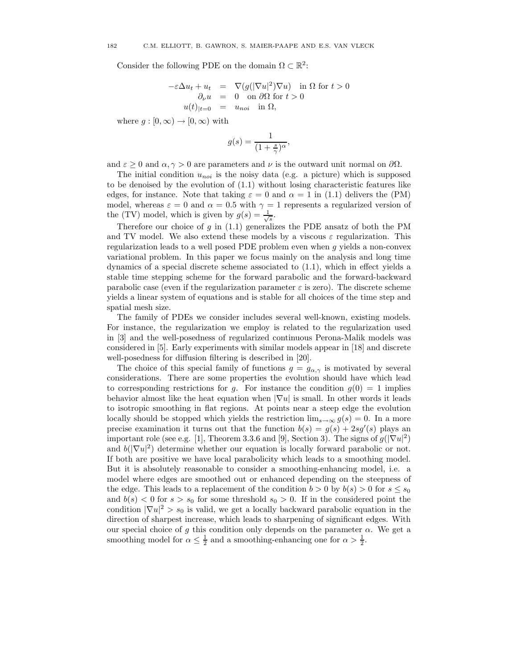Consider the following PDE on the domain  $\Omega \subset \mathbb{R}^2$ :

$$
-\varepsilon \Delta u_t + u_t = \nabla (g(|\nabla u|^2)\nabla u) \text{ in } \Omega \text{ for } t > 0
$$
  
\n
$$
\partial_\nu u = 0 \text{ on } \partial \Omega \text{ for } t > 0
$$
  
\n
$$
u(t)|_{t=0} = u_{noi} \text{ in } \Omega,
$$

where  $g : [0, \infty) \to [0, \infty)$  with

$$
g(s) = \frac{1}{(1 + \frac{s}{\gamma})^{\alpha}},
$$

and  $\varepsilon > 0$  and  $\alpha, \gamma > 0$  are parameters and  $\nu$  is the outward unit normal on  $\partial \Omega$ .

The initial condition  $u_{noi}$  is the noisy data (e.g. a picture) which is supposed to be denoised by the evolution of (1.1) without losing characteristic features like edges, for instance. Note that taking  $\varepsilon = 0$  and  $\alpha = 1$  in (1.1) delivers the (PM) model, whereas  $\varepsilon = 0$  and  $\alpha = 0.5$  with  $\gamma = 1$  represents a regularized version of the (TV) model, which is given by  $g(s) = \frac{1}{\sqrt{s}}$ .

Therefore our choice of g in  $(1.1)$  generalizes the PDE ansatz of both the PM and TV model. We also extend these models by a viscous  $\varepsilon$  regularization. This regularization leads to a well posed PDE problem even when g yields a non-convex variational problem. In this paper we focus mainly on the analysis and long time dynamics of a special discrete scheme associated to (1.1), which in effect yields a stable time stepping scheme for the forward parabolic and the forward-backward parabolic case (even if the regularization parameter  $\varepsilon$  is zero). The discrete scheme yields a linear system of equations and is stable for all choices of the time step and spatial mesh size.

The family of PDEs we consider includes several well-known, existing models. For instance, the regularization we employ is related to the regularization used in [3] and the well-posedness of regularized continuous Perona-Malik models was considered in [5]. Early experiments with similar models appear in [18] and discrete well-posedness for diffusion filtering is described in [20].

The choice of this special family of functions  $g = g_{\alpha,\gamma}$  is motivated by several considerations. There are some properties the evolution should have which lead to corresponding restrictions for g. For instance the condition  $g(0) = 1$  implies behavior almost like the heat equation when  $|\nabla u|$  is small. In other words it leads to isotropic smoothing in flat regions. At points near a steep edge the evolution locally should be stopped which yields the restriction  $\lim_{s\to\infty} g(s) = 0$ . In a more precise examination it turns out that the function  $b(s) = g(s) + 2sg'(s)$  plays an important role (see e.g. [1], Theorem 3.3.6 and [9], Section 3). The signs of  $g(|\nabla u|^2)$ and  $b(|\nabla u|^2)$  determine whether our equation is locally forward parabolic or not. If both are positive we have local parabolicity which leads to a smoothing model. But it is absolutely reasonable to consider a smoothing-enhancing model, i.e. a model where edges are smoothed out or enhanced depending on the steepness of the edge. This leads to a replacement of the condition  $b > 0$  by  $b(s) > 0$  for  $s \leq s_0$ and  $b(s) < 0$  for  $s > s_0$  for some threshold  $s_0 > 0$ . If in the considered point the condition  $|\nabla u|^2 > s_0$  is valid, we get a locally backward parabolic equation in the direction of sharpest increase, which leads to sharpening of significant edges. With our special choice of g this condition only depends on the parameter  $\alpha$ . We get a smoothing model for  $\alpha \leq \frac{1}{2}$  and a smoothing-enhancing one for  $\alpha > \frac{1}{2}$ .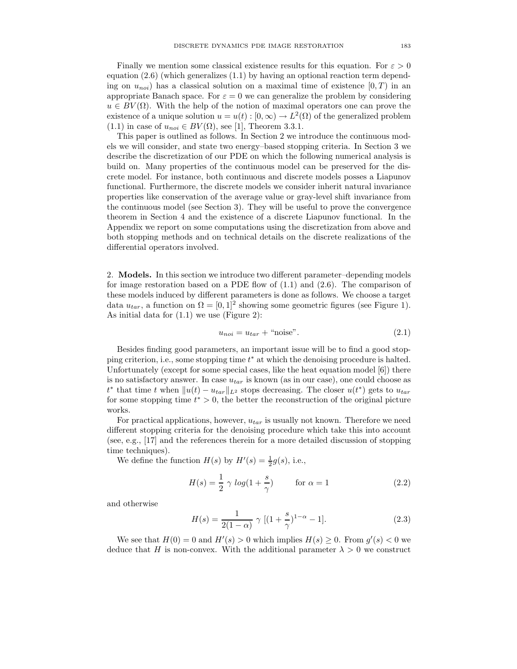Finally we mention some classical existence results for this equation. For  $\varepsilon > 0$ equation  $(2.6)$  (which generalizes  $(1.1)$  by having an optional reaction term depending on  $u_{noi}$ ) has a classical solution on a maximal time of existence  $(0, T)$  in an appropriate Banach space. For  $\varepsilon = 0$  we can generalize the problem by considering  $u \in BV(\Omega)$ . With the help of the notion of maximal operators one can prove the existence of a unique solution  $u = u(t) : [0, \infty) \to L^2(\Omega)$  of the generalized problem  $(1.1)$  in case of  $u_{noi} \in BV(\Omega)$ , see [1], Theorem 3.3.1.

This paper is outlined as follows. In Section 2 we introduce the continuous models we will consider, and state two energy–based stopping criteria. In Section 3 we describe the discretization of our PDE on which the following numerical analysis is build on. Many properties of the continuous model can be preserved for the discrete model. For instance, both continuous and discrete models posses a Liapunov functional. Furthermore, the discrete models we consider inherit natural invariance properties like conservation of the average value or gray-level shift invariance from the continuous model (see Section 3). They will be useful to prove the convergence theorem in Section 4 and the existence of a discrete Liapunov functional. In the Appendix we report on some computations using the discretization from above and both stopping methods and on technical details on the discrete realizations of the differential operators involved.

2. Models. In this section we introduce two different parameter–depending models for image restoration based on a PDE flow of  $(1.1)$  and  $(2.6)$ . The comparison of these models induced by different parameters is done as follows. We choose a target data  $u_{tar}$ , a function on  $\Omega = [0, 1]^2$  showing some geometric figures (see Figure 1). As initial data for (1.1) we use (Figure 2):

$$
u_{noi} = u_{tar} + \text{``noise''}.
$$
\n
$$
(2.1)
$$

Besides finding good parameters, an important issue will be to find a good stopping criterion, i.e., some stopping time  $t^*$  at which the denoising procedure is halted. Unfortunately (except for some special cases, like the heat equation model [6]) there is no satisfactory answer. In case  $u_{tar}$  is known (as in our case), one could choose as  $t^*$  that time t when  $||u(t) - u_{tar}||_{L^2}$  stops decreasing. The closer  $u(t^*)$  gets to  $u_{tar}$ for some stopping time  $t^* > 0$ , the better the reconstruction of the original picture works.

For practical applications, however,  $u_{tar}$  is usually not known. Therefore we need different stopping criteria for the denoising procedure which take this into account (see, e.g., [17] and the references therein for a more detailed discussion of stopping time techniques).

We define the function  $H(s)$  by  $H'(s) = \frac{1}{2}g(s)$ , i.e.,

$$
H(s) = \frac{1}{2} \gamma \log(1 + \frac{s}{\gamma}) \qquad \text{for } \alpha = 1 \tag{2.2}
$$

and otherwise

$$
H(s) = \frac{1}{2(1-\alpha)} \gamma \left[ (1 + \frac{s}{\gamma})^{1-\alpha} - 1 \right].
$$
 (2.3)

We see that  $H(0) = 0$  and  $H'(s) > 0$  which implies  $H(s) \geq 0$ . From  $g'(s) < 0$  we deduce that H is non-convex. With the additional parameter  $\lambda > 0$  we construct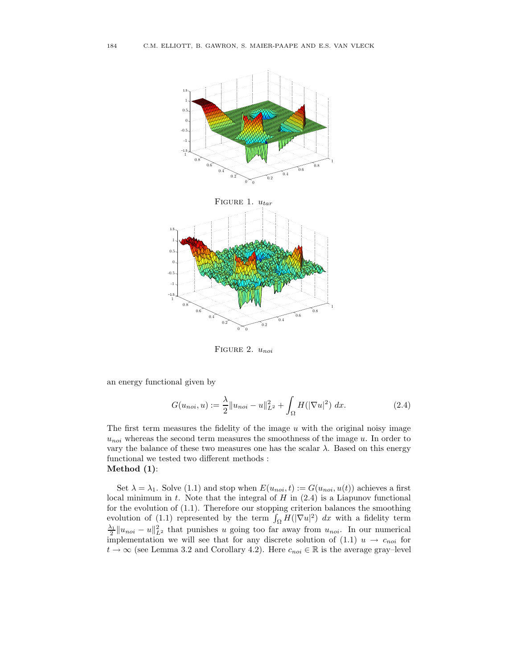

FIGURE 2.  $u_{noi}$ 

an energy functional given by

$$
G(u_{noi}, u) := \frac{\lambda}{2} \|u_{noi} - u\|_{L^2}^2 + \int_{\Omega} H(|\nabla u|^2) \ dx.
$$
 (2.4)

The first term measures the fidelity of the image  $u$  with the original noisy image  $u_{noi}$  whereas the second term measures the smoothness of the image u. In order to vary the balance of these two measures one has the scalar  $\lambda$ . Based on this energy functional we tested two different methods : Method (1):

Set  $\lambda = \lambda_1$ . Solve (1.1) and stop when  $E(u_{noi}, t) := G(u_{noi}, u(t))$  achieves a first local minimum in  $t$ . Note that the integral of  $H$  in  $(2.4)$  is a Liapunov functional for the evolution of (1.1). Therefore our stopping criterion balances the smoothing evolution of (1.1) represented by the term  $\int_{\Omega} H(|\nabla u|^2) dx$  with a fidelity term  $\frac{\lambda_1}{2} \| u_{noi} - u \|_{L^2}^2$  that punishes u going too far away from  $u_{noi}$ . In our numerical implementation we will see that for any discrete solution of (1.1)  $u \rightarrow c_{noi}$  for  $t \to \infty$  (see Lemma 3.2 and Corollary 4.2). Here  $c_{noi} \in \mathbb{R}$  is the average gray–level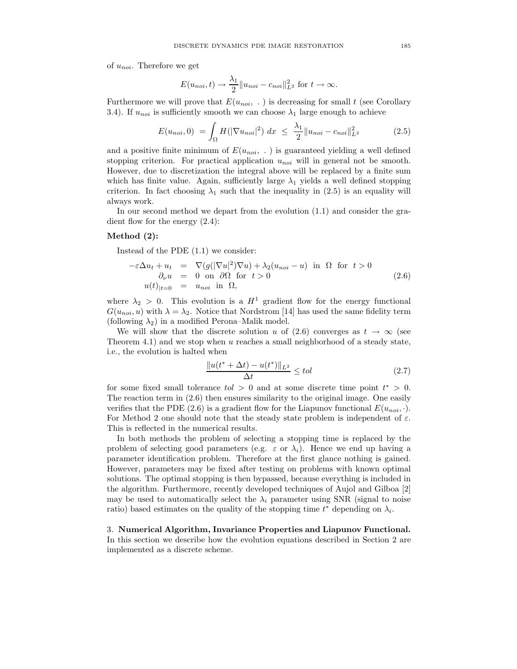of  $u_{noi}$ . Therefore we get

$$
E(u_{noi}, t) \to \frac{\lambda_1}{2} ||u_{noi} - c_{noi}||_{L^2}^2 \text{ for } t \to \infty.
$$

Furthermore we will prove that  $E(u_{noi}, .)$  is decreasing for small t (see Corollary 3.4). If  $u_{noi}$  is sufficiently smooth we can choose  $\lambda_1$  large enough to achieve

$$
E(u_{noi}, 0) = \int_{\Omega} H(|\nabla u_{noi}|^2) dx \le \frac{\lambda_1}{2} ||u_{noi} - c_{noi}||_{L^2}^2
$$
 (2.5)

and a positive finite minimum of  $E(u_{noi}, \cdot)$  is guaranteed yielding a well defined stopping criterion. For practical application  $u_{noi}$  will in general not be smooth. However, due to discretization the integral above will be replaced by a finite sum which has finite value. Again, sufficiently large  $\lambda_1$  yields a well defined stopping criterion. In fact choosing  $\lambda_1$  such that the inequality in (2.5) is an equality will always work.

In our second method we depart from the evolution (1.1) and consider the gradient flow for the energy (2.4):

## Method (2):

Instead of the PDE (1.1) we consider:

$$
-\varepsilon \Delta u_t + u_t = \nabla(g(|\nabla u|^2)\nabla u) + \lambda_2(u_{noi} - u) \text{ in } \Omega \text{ for } t > 0
$$
  
\n
$$
\partial_\nu u = 0 \text{ on } \partial\Omega \text{ for } t > 0
$$
  
\n
$$
u(t)|_{t=0} = u_{noi} \text{ in } \Omega,
$$
\n(2.6)

where  $\lambda_2 > 0$ . This evolution is a  $H^1$  gradient flow for the energy functional  $G(u_{noi}, u)$  with  $\lambda = \lambda_2$ . Notice that Nordstrom [14] has used the same fidelity term (following  $\lambda_2$ ) in a modified Perona–Malik model.

We will show that the discrete solution u of (2.6) converges as  $t \to \infty$  (see Theorem 4.1) and we stop when  $u$  reaches a small neighborhood of a steady state, i.e., the evolution is halted when

$$
\frac{\|u(t^* + \Delta t) - u(t^*)\|_{L^2}}{\Delta t} \le tol \tag{2.7}
$$

for some fixed small tolerance  $tol > 0$  and at some discrete time point  $t^* > 0$ . The reaction term in (2.6) then ensures similarity to the original image. One easily verifies that the PDE (2.6) is a gradient flow for the Liapunov functional  $E(u_{noi}, \cdot)$ . For Method 2 one should note that the steady state problem is independent of  $\varepsilon$ . This is reflected in the numerical results.

In both methods the problem of selecting a stopping time is replaced by the problem of selecting good parameters (e.g.  $\varepsilon$  or  $\lambda_i$ ). Hence we end up having a parameter identification problem. Therefore at the first glance nothing is gained. However, parameters may be fixed after testing on problems with known optimal solutions. The optimal stopping is then bypassed, because everything is included in the algorithm. Furthermore, recently developed techniques of Aujol and Gilboa [2] may be used to automatically select the  $\lambda_i$  parameter using SNR (signal to noise ratio) based estimates on the quality of the stopping time  $t^*$  depending on  $\lambda_i$ .

3. Numerical Algorithm, Invariance Properties and Liapunov Functional. In this section we describe how the evolution equations described in Section 2 are implemented as a discrete scheme.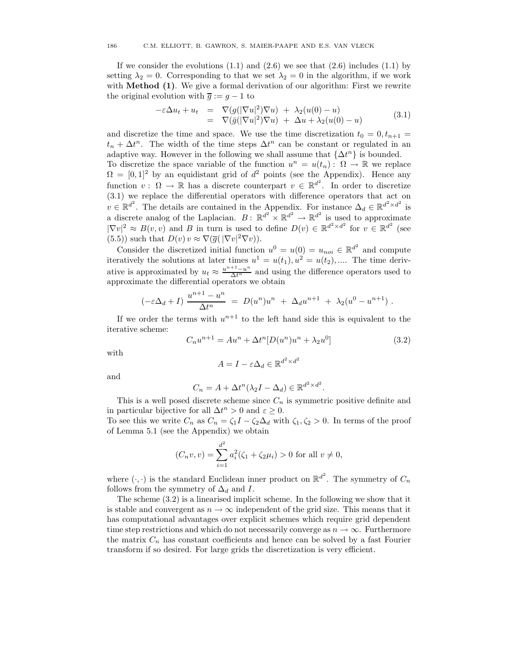If we consider the evolutions  $(1.1)$  and  $(2.6)$  we see that  $(2.6)$  includes  $(1.1)$  by setting  $\lambda_2 = 0$ . Corresponding to that we set  $\lambda_2 = 0$  in the algorithm, if we work with **Method (1)**. We give a formal derivation of our algorithm: First we rewrite the original evolution with  $\overline{g} := g - 1$  to

$$
-\varepsilon \Delta u_t + u_t = \nabla(g(|\nabla u|^2)\nabla u) + \lambda_2(u(0) - u) \n= \nabla(\bar{g}(|\nabla u|^2)\nabla u) + \Delta u + \lambda_2(u(0) - u)
$$
\n(3.1)

and discretize the time and space. We use the time discretization  $t_0 = 0, t_{n+1} =$  $t_n + \Delta t^n$ . The width of the time steps  $\Delta t^n$  can be constant or regulated in an adaptive way. However in the following we shall assume that  $\{\Delta t^n\}$  is bounded. To discretize the space variable of the function  $u^n = u(t_n)$ :  $\Omega \to \mathbb{R}$  we replace  $\Omega = [0, 1]^2$  by an equidistant grid of  $d^2$  points (see the Appendix). Hence any function  $v: \Omega \to \mathbb{R}$  has a discrete counterpart  $v \in \mathbb{R}^{d^2}$ . In order to discretize (3.1) we replace the differential operators with difference operators that act on  $v \in \mathbb{R}^{d^2}$ . The details are contained in the Appendix. For instance  $\Delta_d \in \mathbb{R}^{d^2 \times d^2}$  is a discrete analog of the Laplacian.  $B: \mathbb{R}^{d^2} \times \mathbb{R}^{d^2} \to \mathbb{R}^{d^2}$  is used to approximate  $|\nabla v|^2 \approx B(v, v)$  and B in turn is used to define  $D(v) \in \mathbb{R}^{d^2 \times d^2}$  for  $v \in \mathbb{R}^{d^2}$  (see (5.5)) such that  $D(v)$   $v \approx \nabla(\overline{g}(\sqrt{|\nabla v|^2} \nabla v)).$ 

Consider the discretized initial function  $u^0 = u(0) = u_{noi} \in \mathbb{R}^{d^2}$  and compute iteratively the solutions at later times  $u^1 = u(t_1), u^2 = u(t_2), \dots$  The time derivative is approximated by  $u_t \approx \frac{u^{n+1}-u^n}{\Delta t^n}$  and using the difference operators used to approximate the differential operators we obtain

$$
(-\varepsilon \Delta_d + I) \frac{u^{n+1} - u^n}{\Delta t^n} = D(u^n)u^n + \Delta_d u^{n+1} + \lambda_2 (u^0 - u^{n+1}).
$$

If we order the terms with  $u^{n+1}$  to the left hand side this is equivalent to the iterative scheme:

$$
C_n u^{n+1} = A u^n + \Delta t^n [D(u^n) u^n + \lambda_2 u^0]
$$
\n(3.2)

with

$$
A = I - \varepsilon \Delta_d \in \mathbb{R}^{d^2 \times d^2}
$$

and

$$
C_n = A + \Delta t^n (\lambda_2 I - \Delta_d) \in \mathbb{R}^{d^2 \times d^2}.
$$

This is a well posed discrete scheme since  $C_n$  is symmetric positive definite and in particular bijective for all  $\Delta t^n > 0$  and  $\varepsilon \geq 0$ .

To see this we write  $C_n$  as  $C_n = \zeta_1 I - \zeta_2 \Delta_d$  with  $\zeta_1, \zeta_2 > 0$ . In terms of the proof of Lemma 5.1 (see the Appendix) we obtain

$$
(C_n v, v) = \sum_{i=1}^{d^2} a_i^2 (\zeta_1 + \zeta_2 \mu_i) > 0 \text{ for all } v \neq 0,
$$

where  $(\cdot, \cdot)$  is the standard Euclidean inner product on  $\mathbb{R}^{d^2}$ . The symmetry of  $C_n$ follows from the symmetry of  $\Delta_d$  and I.

The scheme (3.2) is a linearised implicit scheme. In the following we show that it is stable and convergent as  $n \to \infty$  independent of the grid size. This means that it has computational advantages over explicit schemes which require grid dependent time step restrictions and which do not necessarily converge as  $n \to \infty$ . Furthermore the matrix  $C_n$  has constant coefficients and hence can be solved by a fast Fourier transform if so desired. For large grids the discretization is very efficient.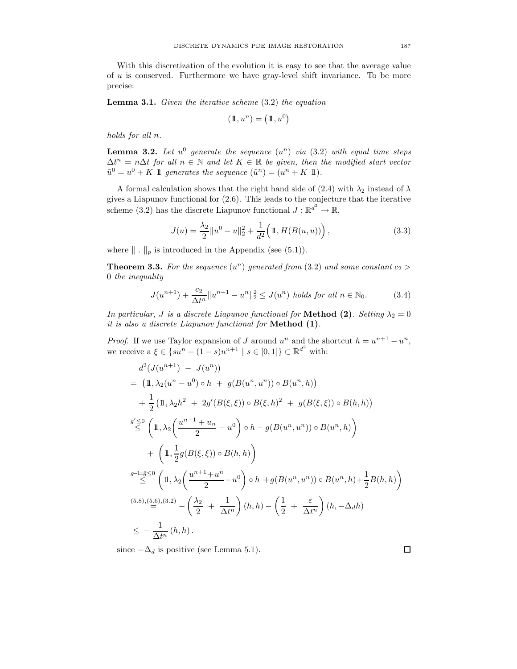With this discretization of the evolution it is easy to see that the average value of u is conserved. Furthermore we have gray-level shift invariance. To be more precise:

**Lemma 3.1.** Given the iterative scheme  $(3.2)$  the equation

$$
(\mathbb{1}, u^n) = (\mathbb{1}, u^0)
$$

holds for all n.

**Lemma 3.2.** Let  $u^0$  generate the sequence  $(u^n)$  via  $(3.2)$  with equal time steps  $\Delta t^n = n \Delta t$  for all  $n \in \mathbb{N}$  and let  $K \in \mathbb{R}$  be given, then the modified start vector  $\tilde{u}^0 = u^0 + K$  1 generates the sequence  $(\tilde{u}^n) = (u^n + K)$ .

A formal calculation shows that the right hand side of (2.4) with  $\lambda_2$  instead of  $\lambda$ gives a Liapunov functional for (2.6). This leads to the conjecture that the iterative scheme (3.2) has the discrete Liapunov functional  $J : \mathbb{R}^{d^2} \to \mathbb{R}$ ,

$$
J(u) = \frac{\lambda_2}{2} ||u^0 - u||_2^2 + \frac{1}{d^2} \Big( \mathbb{1}, H(B(u, u)) \Big), \tag{3.3}
$$

where  $\|\cdot\|_p$  is introduced in the Appendix (see (5.1)).

**Theorem 3.3.** For the sequence  $(u^n)$  generated from  $(3.2)$  and some constant  $c_2 >$ 0 the inequality

$$
J(u^{n+1}) + \frac{c_2}{\Delta t^n} \|u^{n+1} - u^n\|_2^2 \le J(u^n) \text{ holds for all } n \in \mathbb{N}_0.
$$
 (3.4)

In particular, J is a discrete Liapunov functional for **Method (2)**. Setting  $\lambda_2 = 0$ it is also a discrete Liapunov functional for Method (1).

*Proof.* If we use Taylor expansion of J around  $u^n$  and the shortcut  $h = u^{n+1} - u^n$ , we receive  $a \xi \in \{su^n + (1-s)u^{n+1} \mid s \in [0,1]\} \subset \mathbb{R}^{d^2}$  with:

$$
d^{2}(J(u^{n+1}) - J(u^{n}))
$$
  
=  $(\mathbb{1}, \lambda_{2}(u^{n} - u^{0}) \circ h + g(B(u^{n}, u^{n})) \circ B(u^{n}, h))$   
+  $\frac{1}{2}(\mathbb{1}, \lambda_{2}h^{2} + 2g'(B(\xi, \xi)) \circ B(\xi, h)^{2} + g(B(\xi, \xi)) \circ B(h, h))$   
 $g' \leq 0$   
 $\left(\mathbb{1}, \lambda_{2}\left(\frac{u^{n+1} + u_{n}}{2} - u^{0}\right) \circ h + g(B(u^{n}, u^{n})) \circ B(u^{n}, h)\right)$   
+  $\left(\mathbb{1}, \frac{1}{2}g(B(\xi, \xi)) \circ B(h, h)\right)$   
 $g^{-1} = \frac{g}{2}$   
 $\leq 0$   
 $\left(\mathbb{1}, \lambda_{2}\left(\frac{u^{n+1} + u^{n}}{2} - u^{0}\right) \circ h + g(B(u^{n}, u^{n})) \circ B(u^{n}, h) + \frac{1}{2}B(h, h)\right)$   
 $\left(5.8\right),\left(5.6\right),\left(3.2\right) - \left(\frac{\lambda_{2}}{2} + \frac{1}{\Delta t^{n}}\right)(h, h) - \left(\frac{1}{2} + \frac{\varepsilon}{\Delta t^{n}}\right)(h, -\Delta_{d}h)$   
 $\leq -\frac{1}{\Delta t^{n}}(h, h).$ 

since  $-\Delta_d$  is positive (see Lemma 5.1).

 $\Box$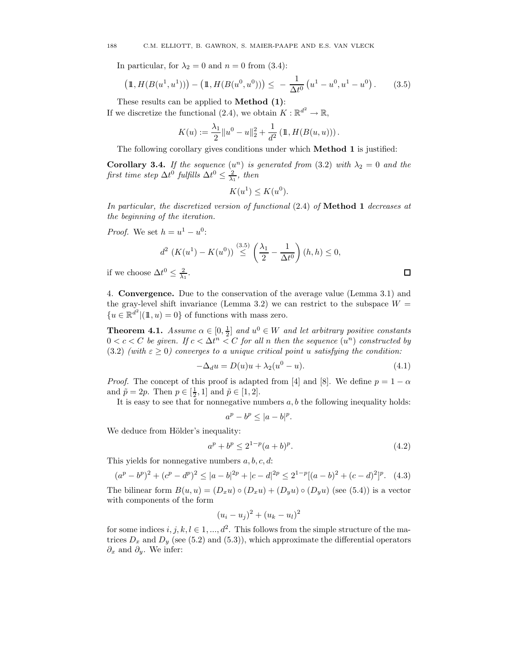In particular, for  $\lambda_2 = 0$  and  $n = 0$  from (3.4):

$$
\left(\mathbb{1}, H(B(u^1, u^1))\right) - \left(\mathbb{1}, H(B(u^0, u^0))\right) \leq -\frac{1}{\Delta t^0} \left(u^1 - u^0, u^1 - u^0\right). \tag{3.5}
$$

These results can be applied to **Method** (1): If we discretize the functional (2.4), we obtain  $K: \mathbb{R}^{d^2} \to \mathbb{R}$ ,

$$
K(u) := \frac{\lambda_1}{2} ||u^0 - u||_2^2 + \frac{1}{d^2} (\mathbb{1}, H(B(u, u))).
$$

The following corollary gives conditions under which **Method 1** is justified:

**Corollary 3.4.** If the sequence  $(u^n)$  is generated from (3.2) with  $\lambda_2 = 0$  and the first time step  $\Delta t^0$  fulfills  $\Delta t^0 \leq \frac{2}{\lambda_1}$ , then

$$
K(u^1) \le K(u^0).
$$

In particular, the discretized version of functional (2.4) of Method 1 decreases at the beginning of the iteration.

*Proof.* We set  $h = u^1 - u^0$ :

$$
d^{2} \left(K(u^{1}) - K(u^{0})\right) \stackrel{(3.5)}{\leq} \left(\frac{\lambda_{1}}{2} - \frac{1}{\Delta t^{0}}\right)(h, h) \leq 0,
$$

if we choose  $\Delta t^0 \leq \frac{2}{\lambda_1}$ .

4. Convergence. Due to the conservation of the average value (Lemma 3.1) and the gray-level shift invariance (Lemma 3.2) we can restrict to the subspace  $W =$  ${u \in \mathbb{R}^{d^2} | (\mathbb{1}, u) = 0}$  of functions with mass zero.

**Theorem 4.1.** Assume  $\alpha \in [0, \frac{1}{2}]$  and  $u^0 \in W$  and let arbitrary positive constants  $0 < c < C$  be given. If  $c < \Delta t^n < C$  for all n then the sequence  $(u^n)$  constructed by (3.2) (with  $\varepsilon \geq 0$ ) converges to a unique critical point u satisfying the condition:

$$
-\Delta_d u = D(u)u + \lambda_2(u^0 - u). \tag{4.1}
$$

 $\Box$ 

*Proof.* The concept of this proof is adapted from [4] and [8]. We define  $p = 1 - \alpha$ and  $\tilde{p} = 2p$ . Then  $p \in [\frac{1}{2}, 1]$  and  $\tilde{p} \in [1, 2]$ .

It is easy to see that for nonnegative numbers  $a, b$  the following inequality holds:

$$
a^p - b^p \le |a - b|^p.
$$

We deduce from Hölder's inequality:

$$
a^p + b^p \le 2^{1-p}(a+b)^p. \tag{4.2}
$$

This yields for nonnegative numbers  $a, b, c, d$ :

$$
(ap - bp)2 + (cp - dp)2 \le |a - b|2p + |c - d|2p \le 21-p [(a - b)2 + (c - d)2]p.
$$
 (4.3)

The bilinear form  $B(u, u) = (D_x u) \circ (D_x u) + (D_y u) \circ (D_y u)$  (see (5.4)) is a vector with components of the form

$$
(u_i - u_j)^2 + (u_k - u_l)^2
$$

for some indices  $i, j, k, l \in 1, ..., d^2$ . This follows from the simple structure of the matrices  $D_x$  and  $D_y$  (see (5.2) and (5.3)), which approximate the differential operators  $\partial_x$  and  $\partial_y$ . We infer: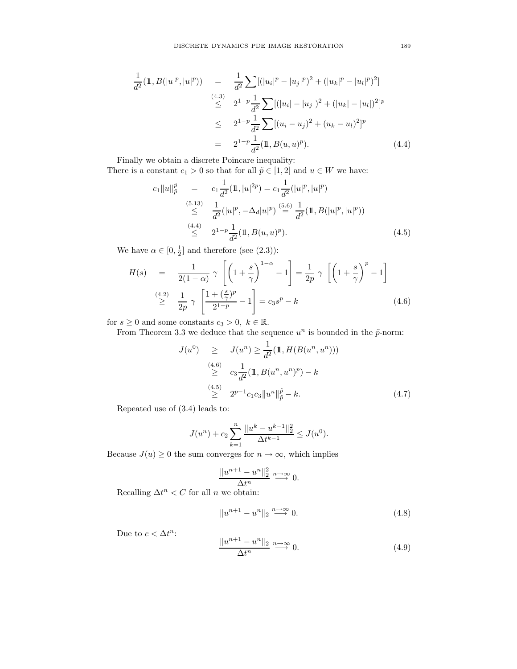$$
\frac{1}{d^2}(\mathbb{1}, B(|u|^p, |u|^p)) = \frac{1}{d^2} \sum [(|u_i|^p - |u_j|^p)^2 + (|u_k|^p - |u_l|^p)^2]
$$
\n
$$
\stackrel{(4.3)}{\leq} 2^{1-p} \frac{1}{d^2} \sum [(|u_i| - |u_j|)^2 + (|u_k| - |u_l|)^2]^p
$$
\n
$$
\leq 2^{1-p} \frac{1}{d^2} \sum [(u_i - u_j)^2 + (u_k - u_l)^2]^p
$$
\n
$$
= 2^{1-p} \frac{1}{d^2} (\mathbb{1}, B(u, u)^p). \tag{4.4}
$$

Finally we obtain a discrete Poincare inequality: There is a constant  $c_1 > 0$  so that for all  $\tilde{p} \in [1, 2]$  and  $u \in W$  we have:

$$
c_1 \|u\|_p^{\tilde{p}} = c_1 \frac{1}{d^2} (\mathbb{1}, |u|^{2p}) = c_1 \frac{1}{d^2} (|u|^p, |u|^p)
$$
  
\n
$$
\leq \frac{1}{d^2} (|u|^p, -\Delta_d |u|^p) \stackrel{(5.6)}{=} \frac{1}{d^2} (\mathbb{1}, B(|u|^p, |u|^p))
$$
  
\n
$$
\leq \frac{4.4}{d^2} \frac{1}{2^{1-p} \frac{1}{d^2} (\mathbb{1}, B(u, u)^p).}
$$
\n(4.5)

We have  $\alpha \in [0, \frac{1}{2}]$  and therefore (see (2.3)):

$$
H(s) = \frac{1}{2(1-\alpha)} \gamma \left[ \left( 1 + \frac{s}{\gamma} \right)^{1-\alpha} - 1 \right] = \frac{1}{2p} \gamma \left[ \left( 1 + \frac{s}{\gamma} \right)^p - 1 \right]
$$
  
\n
$$
\geq \frac{(4.2)}{2p} \gamma \left[ \frac{1 + \left( \frac{s}{\gamma} \right)^p}{2^{1-p}} - 1 \right] = c_3 s^p - k
$$
\n(4.6)

for  $s \geq 0$  and some constants  $c_3 > 0$ ,  $k \in \mathbb{R}$ .

From Theorem 3.3 we deduce that the sequence  $u^n$  is bounded in the  $\tilde{p}$ -norm:

$$
J(u^{0}) \geq J(u^{n}) \geq \frac{1}{d^{2}} (\mathbb{1}, H(B(u^{n}, u^{n})))
$$
  
\n
$$
\geq c_{3} \frac{1}{d^{2}} (\mathbb{1}, B(u^{n}, u^{n})^{p}) - k
$$
  
\n
$$
\geq c_{3} \frac{1}{d^{2}} (\mathbb{1}, B(u^{n}, u^{n})^{p}) - k
$$
  
\n
$$
\geq 2^{p-1} c_{1} c_{3} \|u^{n}\|_{p}^{\tilde{p}} - k.
$$
\n(4.7)

Repeated use of (3.4) leads to:

$$
J(u^{n}) + c_{2} \sum_{k=1}^{n} \frac{\|u^{k} - u^{k-1}\|_{2}^{2}}{\Delta t^{k-1}} \leq J(u^{0}).
$$

Because  $J(u) \geq 0$  the sum converges for  $n \to \infty$ , which implies

$$
\frac{\|u^{n+1} - u^n\|_2^2}{\Delta t^n} \xrightarrow{n \to \infty} 0.
$$

Recalling  $\Delta t^n < C$  for all *n* we obtain:

$$
||u^{n+1} - u^n||_2 \xrightarrow{n \to \infty} 0. \tag{4.8}
$$

Due to  $c < \Delta t^n$ :

$$
\frac{\|u^{n+1} - u^n\|_2}{\Delta t^n} \xrightarrow{n \to \infty} 0. \tag{4.9}
$$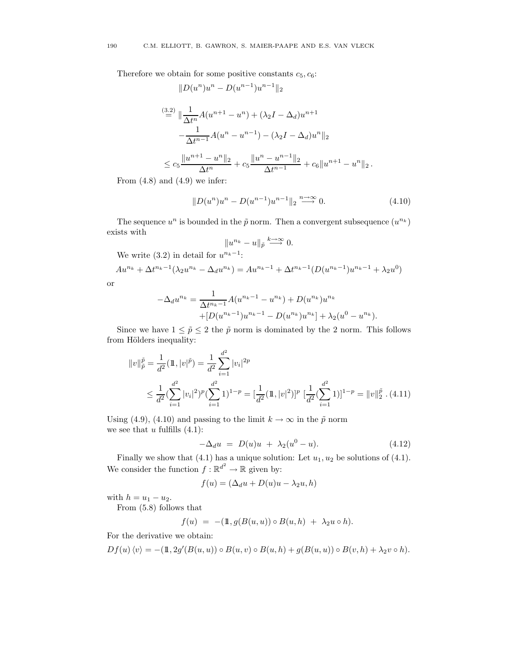Therefore we obtain for some positive constants  $c_5, c_6$ :

$$
||D(u^{n})u^{n} - D(u^{n-1})u^{n-1}||_{2}
$$
  
\n
$$
\stackrel{(3.2)}{=} \|\frac{1}{\Delta t^{n}}A(u^{n+1} - u^{n}) + (\lambda_{2}I - \Delta_{d})u^{n+1}
$$
  
\n
$$
-\frac{1}{\Delta t^{n-1}}A(u^{n} - u^{n-1}) - (\lambda_{2}I - \Delta_{d})u^{n}||_{2}
$$
  
\n
$$
\leq c_{5}\frac{||u^{n+1} - u^{n}||_{2}}{\Delta t^{n}} + c_{5}\frac{||u^{n} - u^{n-1}||_{2}}{\Delta t^{n-1}} + c_{6}||u^{n+1} - u^{n}||_{2}.
$$

From  $(4.8)$  and  $(4.9)$  we infer:

$$
||D(u^n)u^n - D(u^{n-1})u^{n-1}||_2 \xrightarrow{n \to \infty} 0.
$$
\n(4.10)

The sequence  $u^n$  is bounded in the  $\tilde{p}$  norm. Then a convergent subsequence  $(u^{n_k})$ exists with

$$
||u^{n_k}-u||_{\tilde{p}} \stackrel{k\to\infty}{\longrightarrow} 0.
$$

We write  $(3.2)$  in detail for  $u^{n_k-1}$ :

$$
Au^{n_k} + \Delta t^{n_k - 1}(\lambda_2 u^{n_k} - \Delta_d u^{n_k}) = Au^{n_k - 1} + \Delta t^{n_k - 1}(D(u^{n_k - 1})u^{n_k - 1} + \lambda_2 u^0)
$$

or

$$
-\Delta_d u^{n_k} = \frac{1}{\Delta t^{n_k - 1}} A(u^{n_k - 1} - u^{n_k}) + D(u^{n_k})u^{n_k}
$$
  
+ 
$$
[D(u^{n_k - 1})u^{n_k - 1} - D(u^{n_k})u^{n_k}] + \lambda_2(u^0 - u^{n_k}).
$$

Since we have  $1 \leq \tilde{p} \leq 2$  the  $\tilde{p}$  norm is dominated by the 2 norm. This follows from Hölders inequality:

$$
||v||_p^{\tilde{p}} = \frac{1}{d^2} (\mathbb{1}, |v|^{\tilde{p}}) = \frac{1}{d^2} \sum_{i=1}^{d^2} |v_i|^{2p}
$$
  
 
$$
\leq \frac{1}{d^2} (\sum_{i=1}^{d^2} |v_i|^2)^p (\sum_{i=1}^{d^2} 1)^{1-p} = [\frac{1}{d^2} (\mathbb{1}, |v|^2)]^p [\frac{1}{d^2} (\sum_{i=1}^{d^2} 1)]^{1-p} = ||v||_2^{\tilde{p}} . (4.11)
$$

Using (4.9), (4.10) and passing to the limit  $k \to \infty$  in the  $\tilde{p}$  norm we see that  $u$  fulfills  $(4.1)$ :

$$
-\Delta_d u = D(u)u + \lambda_2(u^0 - u). \tag{4.12}
$$

Finally we show that  $(4.1)$  has a unique solution: Let  $u_1, u_2$  be solutions of  $(4.1)$ . We consider the function  $f: \mathbb{R}^{d^2} \to \mathbb{R}$  given by:

$$
f(u) = (\Delta_d u + D(u)u - \lambda_2 u, h)
$$

with  $h = u_1 - u_2$ .

From (5.8) follows that

$$
f(u) = -(\mathbb{1}, g(B(u, u)) \circ B(u, h) + \lambda_2 u \circ h).
$$

For the derivative we obtain:

$$
Df(u)\langle v\rangle = -(\mathbb{1}, 2g'(B(u, u)) \circ B(u, v) \circ B(u, h) + g(B(u, u)) \circ B(v, h) + \lambda_2 v \circ h).
$$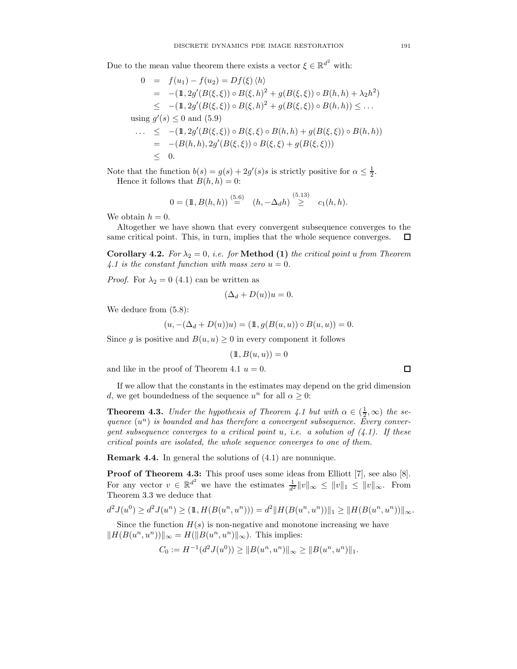Due to the mean value theorem there exists a vector  $\xi \in \mathbb{R}^{d^2}$  with:

$$
0 = f(u_1) - f(u_2) = Df(\xi) \langle h \rangle
$$
  
\n
$$
= -(1, 2g'(B(\xi, \xi)) \circ B(\xi, h)^2 + g(B(\xi, \xi)) \circ B(h, h) + \lambda_2 h^2)
$$
  
\n
$$
\leq -(1, 2g'(B(\xi, \xi)) \circ B(\xi, h)^2 + g(B(\xi, \xi)) \circ B(h, h)) \leq \dots
$$
  
\nusing  $g'(s) \leq 0$  and (5.9)  
\n
$$
\dots \leq -(1, 2g'(B(\xi, \xi)) \circ B(\xi, \xi) \circ B(h, h) + g(B(\xi, \xi)) \circ B(h, h))
$$
  
\n
$$
= -(B(h, h), 2g'(B(\xi, \xi)) \circ B(\xi, \xi) + g(B(\xi, \xi)))
$$
  
\n
$$
\leq 0.
$$

Note that the function  $b(s) = g(s) + 2g'(s)s$  is strictly positive for  $\alpha \leq \frac{1}{2}$ . Hence it follows that  $B(h, h) = 0$ :

$$
0 = (\mathbb{1}, B(h, h)) \stackrel{(5.6)}{=} (h, -\Delta_d h) \stackrel{(5.13)}{\geq} c_1(h, h).
$$

We obtain  $h = 0$ .

Altogether we have shown that every convergent subsequence converges to the same critical point. This, in turn, implies that the whole sequence converges. □

Corollary 4.2. For  $\lambda_2 = 0$ , i.e. for Method (1) the critical point u from Theorem 4.1 is the constant function with mass zero  $u = 0$ .

*Proof.* For  $\lambda_2 = 0$  (4.1) can be written as

$$
(\Delta_d + D(u))u = 0.
$$

We deduce from (5.8):

$$
(u, -(\Delta_d + D(u))u) = (\mathbb{1}, g(B(u, u)) \circ B(u, u)) = 0.
$$

Since g is positive and  $B(u, u) \geq 0$  in every component it follows

$$
(\mathbb{1}, B(u, u)) = 0
$$

and like in the proof of Theorem 4.1  $u = 0$ .

If we allow that the constants in the estimates may depend on the grid dimension d, we get boundedness of the sequence  $u^n$  for all  $\alpha \geq 0$ :

**Theorem 4.3.** Under the hypothesis of Theorem 4.1 but with  $\alpha \in (\frac{1}{2}, \infty)$  the sequence  $(u^n)$  is bounded and has therefore a convergent subsequence. Every convergent subsequence converges to a critical point u, i.e. a solution of  $(4.1)$ . If these critical points are isolated, the whole sequence converges to one of them.

Remark 4.4. In general the solutions of (4.1) are nonunique.

Proof of Theorem 4.3: This proof uses some ideas from Elliott [7], see also [8]. For any vector  $v \in \mathbb{R}^{d^2}$  we have the estimates  $\frac{1}{d^2} ||v||_{\infty} \le ||v||_1 \le ||v||_{\infty}$ . From Theorem 3.3 we deduce that

$$
d^2 J(u^0) \ge d^2 J(u^n) \ge (\mathbb{1}, H(B(u^n, u^n))) = d^2 ||H(B(u^n, u^n))||_1 \ge ||H(B(u^n, u^n))||_{\infty}.
$$

Since the function  $H(s)$  is non-negative and monotone increasing we have  $||H(B(u^n, u^n))||_{\infty} = H(||B(u^n, u^n)||_{\infty})$ . This implies:

$$
C_0 := H^{-1}(d^2 J(u^0)) \geq ||B(u^n, u^n)||_{\infty} \geq ||B(u^n, u^n)||_1.
$$

 $\Box$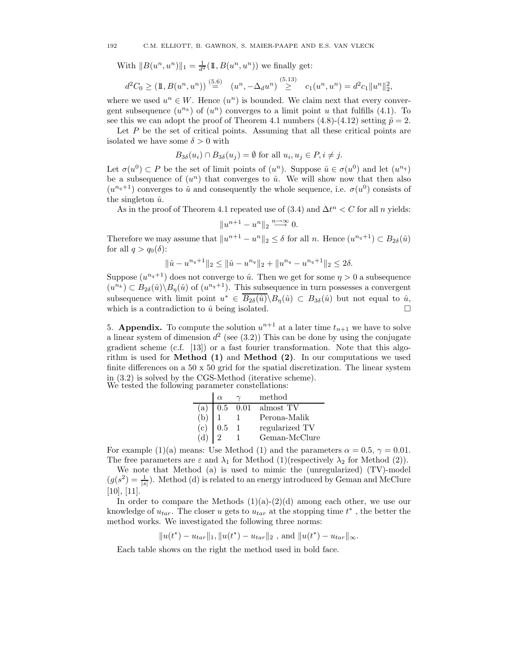With  $||B(u^n, u^n)||_1 = \frac{1}{d^2}(\mathbb{1}, B(u^n, u^n))$  we finally get:

$$
d^2C_0 \geq (\mathbb{1}, B(u^n, u^n)) \stackrel{(5.6)}{=} (u^n, -\Delta_d u^n) \stackrel{(5.13)}{\geq} c_1(u^n, u^n) = d^2c_1 ||u^n||_2^2,
$$

where we used  $u^n \in W$ . Hence  $(u^n)$  is bounded. We claim next that every convergent subsequence  $(u^{n_k})$  of  $(u^n)$  converges to a limit point u that fulfills (4.1). To see this we can adopt the proof of Theorem 4.1 numbers (4.8)-(4.12) setting  $\tilde{p} = 2$ .

Let  $P$  be the set of critical points. Assuming that all these critical points are isolated we have some  $\delta > 0$  with

$$
B_{3\delta}(u_i) \cap B_{3\delta}(u_j) = \emptyset
$$
 for all  $u_i, u_j \in P, i \neq j$ .

Let  $\sigma(u^0) \subset P$  be the set of limit points of  $(u^n)$ . Suppose  $\hat{u} \in \sigma(u^0)$  and let  $(u^{n_q})$ be a subsequence of  $(u^n)$  that converges to  $\hat{u}$ . We will show now that then also  $(u^{n_q+1})$  converges to  $\hat{u}$  and consequently the whole sequence, i.e.  $\sigma(u^0)$  consists of the singleton  $\hat{u}$ .

As in the proof of Theorem 4.1 repeated use of  $(3.4)$  and  $\Delta t^n < C$  for all n yields:

$$
||u^{n+1} - u^n||_2 \xrightarrow{n \to \infty} 0.
$$

Therefore we may assume that  $||u^{n+1} - u^{n}||_2 \leq \delta$  for all n. Hence  $(u^{n_q+1}) \subset B_{2\delta}(\hat{u})$ for all  $q > q_0(\delta)$ :

$$
\|\hat{u} - u^{n_q+1}\|_2 \le \|\hat{u} - u^{n_q}\|_2 + \|u^{n_q} - u^{n_q+1}\|_2 \le 2\delta.
$$

Suppose  $(u^{n_q+1})$  does not converge to  $\hat{u}$ . Then we get for some  $\eta > 0$  a subsequence  $(u^{n_k}) \subset B_{2\delta}(\hat{u}) \backslash B_{\eta}(\hat{u})$  of  $(u^{n_q+1})$ . This subsequence in turn possesses a convergent subsequence with limit point  $u^* \in B_{2\delta}(\hat{u}) \backslash B_{\eta}(\hat{u}) \subset B_{3\delta}(\hat{u})$  but not equal to  $\hat{u}$ , which is a contradiction to  $\hat{u}$  being isolated.  $\Box$ 

5. **Appendix.** To compute the solution  $u^{n+1}$  at a later time  $t_{n+1}$  we have to solve a linear system of dimension  $d^2$  (see (3.2)) This can be done by using the conjugate gradient scheme (c.f. [13]) or a fast fourier transformation. Note that this algorithm is used for **Method (1)** and **Method (2)**. In our computations we used finite differences on a 50 x 50 grid for the spatial discretization. The linear system in (3.2) is solved by the CGS-Method (iterative scheme). We tested the following parameter constellations:

|     | $\alpha$ |      | method         |
|-----|----------|------|----------------|
| (a) | $0.5\,$  | 0.01 | almost TV      |
| (b) |          |      | Perona-Malik   |
| (c) | 0.5      |      | regularized TV |
|     |          |      | Geman-McClure  |

For example (1)(a) means: Use Method (1) and the parameters  $\alpha = 0.5$ ,  $\gamma = 0.01$ . The free parameters are  $\varepsilon$  and  $\lambda_1$  for Method (1)(respectively  $\lambda_2$  for Method (2)).

We note that Method (a) is used to mimic the (unregularized) (TV)-model  $(g(s^2) = \frac{1}{|s|})$ . Method (d) is related to an energy introduced by Geman and McClure [10], [11].

In order to compare the Methods  $(1)(a)-(2)(d)$  among each other, we use our knowledge of  $u_{tar}$ . The closer u gets to  $u_{tar}$  at the stopping time  $t^*$ , the better the method works. We investigated the following three norms:

 $||u(t^*) - u_{tar}||_1, ||u(t^*) - u_{tar}||_2$ , and  $||u(t^*) - u_{tar}||_{\infty}$ .

Each table shows on the right the method used in bold face.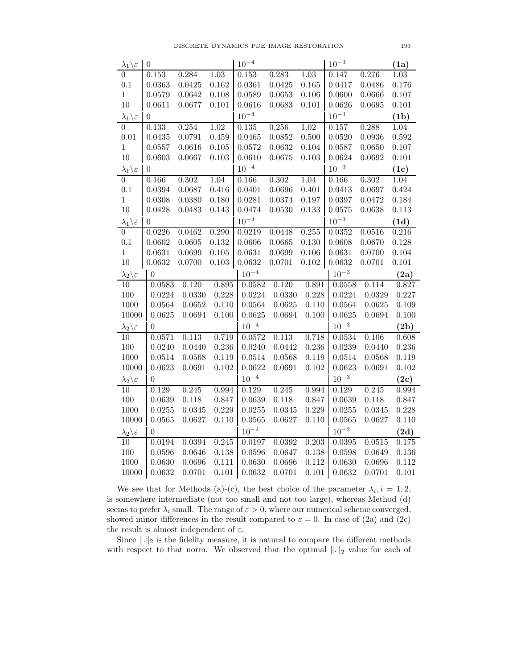| $\frac{\lambda_1}{\xi}$                      | $\boldsymbol{0}$ |                  |                | $10^{-4}$        |                  |                | $10^{-3}$        |                  | (1a)           |
|----------------------------------------------|------------------|------------------|----------------|------------------|------------------|----------------|------------------|------------------|----------------|
|                                              | 0.153            | 0.284            | 1.03           | 0.153            | 0.283            | 1.03           | 0.147            | 0.276            | 1.03           |
| $0.1\,$                                      | 0.0363           | 0.0425           | 0.162          | 0.0361           | 0.0425           | 0.165          | 0.0417           | 0.0486           | 0.176          |
| $\,1\,$                                      | 0.0579           | 0.0642           | 0.108          | 0.0589           | 0.0653           | 0.106          | 0.0600           | 0.0666           | 0.107          |
| 10                                           | 0.0611           | 0.0677           | 0.101          | 0.0616           | 0.0683           | 0.101          | 0.0626           | 0.0695           | 0.101          |
| $\lambda_1 \backslash \varepsilon$           | $\overline{0}$   |                  |                | $10^{-4}$        |                  |                | $10^{-3}$        |                  | (1b)           |
| $\overline{0}$                               | 0.133            | 0.254            | 1.02           | 0.135            | 0.256            | 1.02           | 0.157            | 0.288            | 1.04           |
| $0.01\,$                                     | 0.0435           | 0.0791           | 0.459          | 0.0465           | 0.0852           | 0.500          | 0.0520           | 0.0936           | 0.592          |
| $\mathbf{1}$                                 | 0.0557           | 0.0616           | 0.105          | 0.0572           | 0.0632           | 0.104          | 0.0587           | 0.0650           | 0.107          |
| 10                                           | 0.0603           | 0.0667           | 0.103          | 0.0610           | 0.0675           | $\rm 0.103$    | 0.0624           | 0.0692           | 0.101          |
| $\frac{\lambda_1 \backslash \varepsilon}{0}$ | $\theta$         |                  |                | $10^{-4}$        |                  |                | $10^{-3}$        |                  | (1c)           |
|                                              | 0.166            | 0.302            | 1.04           | 0.166            | $0.302\,$        | 1.04           | 0.166            | 0.302            | 1.04           |
| 0.1                                          | 0.0394           | 0.0687           | 0.416          | 0.0401           | 0.0696           | 0.401          | 0.0413           | 0.0697           | 0.424          |
| $\mathbf{1}$                                 | 0.0308           | 0.0380           | 0.180          | 0.0281           | 0.0374           | 0.197          | 0.0397           | 0.0472           | 0.184          |
| 10                                           | 0.0428           | 0.0483           | 0.143          | 0.0474           | 0.0530           | 0.133          | 0.0575           | 0.0638           | 0.113          |
| $\lambda_1 \backslash \varepsilon$           | $\boldsymbol{0}$ |                  |                | $10^{-4}$        |                  |                | $10^{-3}$        |                  | (1d)           |
| $\overline{0}$                               | 0.0226           | 0.0462           | 0.290          | 0.0219           | 0.0448           | 0.255          | 0.0352           | 0.0516           | 0.216          |
| 0.1                                          | 0.0602           | 0.0605           | 0.132          | 0.0606           | 0.0665           | 0.130          | 0.0608           | 0.0670           | 0.128          |
| $\mathbf{1}$                                 | 0.0631           | 0.0699           | 0.105          | 0.0631           | 0.0699           | 0.106          | 0.0631           | 0.0700           | 0.104          |
| 10                                           | 0.0632           | 0.0700           | $0.103\,$      | 0.0632           | 0.0701           | 0.102          | 0.0632           | 0.0701           | 0.101          |
| $\lambda_2 \backslash \varepsilon$           | $\overline{0}$   |                  |                | $10^{-4}$        |                  |                | $10^{-3}$        |                  | (2a)           |
|                                              |                  |                  |                |                  |                  |                |                  |                  |                |
| 10                                           | 0.0583           | 0.120            | 0.895          | 0.0582           | 0.120            | 0.891          | 0.0558           | 0.114            | 0.827          |
| 100                                          | 0.0224           | 0.0330           | 0.228          | 0.0224           | 0.0330           | 0.228          | 0.0224           | 0.0329           | 0.227          |
| 1000                                         | 0.0564           | 0.0652           | 0.110          | 0.0564           | 0.0625           | 0.110          | 0.0564           | 0.0625           | 0.109          |
| $10000\,$                                    | 0.0625           | 0.0694           | 0.100          | 0.0625           | 0.0694           | 0.100          | 0.0625           | 0.0694           | 0.100          |
| $\lambda_2 \backslash \varepsilon$           | $\theta$         |                  |                | $10^{-4}$        |                  |                | $10^{-3}$        |                  | (2b)           |
| 10                                           | 0.0571           | 0.113            | 0.719          | 0.0572           | 0.113            | 0.718          | 0.0534           | 0.106            | 0.608          |
| 100                                          | 0.0240           | 0.0440           | 0.236          | 0.0240           | 0.0442           | 0.236          | 0.0239           | 0.0440           | 0.236          |
| 1000                                         | 0.0514           | 0.0568           | 0.119          | 0.0514           | 0.0568           | 0.119          | 0.0514           | 0.0568           | 0.119          |
| 10000                                        | 0.0623           | 0.0691           | 0.102          | 0.0622           | 0.0691           | 0.102          | 0.0623           | 0.0691           | 0.102          |
| $\lambda_2 \backslash \varepsilon$           | $\overline{0}$   |                  |                | $10^{-4}$        |                  |                | $10^{-3}$        |                  | (2c)           |
| 10                                           | 0.129            | 0.245            | 0.994          | 0.129            | 0.245            | 0.994          | 0.129            | 0.245            | 0.994          |
| 100                                          | 0.0639           | 0.118            | 0.847          | 0.0639           | 0.118            | 0.847          | 0.0639           | 0.118            | 0.847          |
| 1000                                         | 0.0255           | 0.0345           | 0.229          | 0.0255           | 0.0345           | 0.229          | 0.0255           | 0.0345           | 0.228          |
| 10000                                        | 0.0565           | 0.0627           | 0.110          | 0.0565           | 0.0627           | 0.110          | 0.0565           | 0.0627           | 0.110          |
| $\lambda_2 \backslash \varepsilon$           | $\theta$         |                  |                | $10^{-4}$        |                  |                | $10^{-3}$        |                  | (2d)           |
| 10                                           | 0.0194           | 0.0394           | 0.245          | 0.0197           | 0.0392           | 0.203          | 0.0395           | 0.0515           | 0.175          |
| 100                                          | 0.0596           | 0.0646           | 0.138          | 0.0596           | 0.0647           | 0.138          | 0.0598           | 0.0649           | $0.136\,$      |
| 1000<br>10000                                | 0.0630<br>0.0632 | 0.0696<br>0.0701 | 0.111<br>0.101 | 0.0630<br>0.0632 | 0.0696<br>0.0701 | 0.112<br>0.101 | 0.0630<br>0.0632 | 0.0696<br>0.0701 | 0.112<br>0.101 |

We see that for Methods (a)-(c), the best choice of the parameter  $\lambda_i, i = 1, 2,$ is somewhere intermediate (not too small and not too large), whereas Method (d) seems to prefer  $\lambda_i$  small. The range of  $\varepsilon > 0$ , where our numerical scheme converged, showed minor differences in the result compared to  $\varepsilon = 0$ . In case of (2a) and (2c) the result is almost independent of  $\varepsilon$ .

Since  $\lVert . \rVert_2$  is the fidelity measure, it is natural to compare the different methods with respect to that norm. We observed that the optimal  $\|.\|_2$  value for each of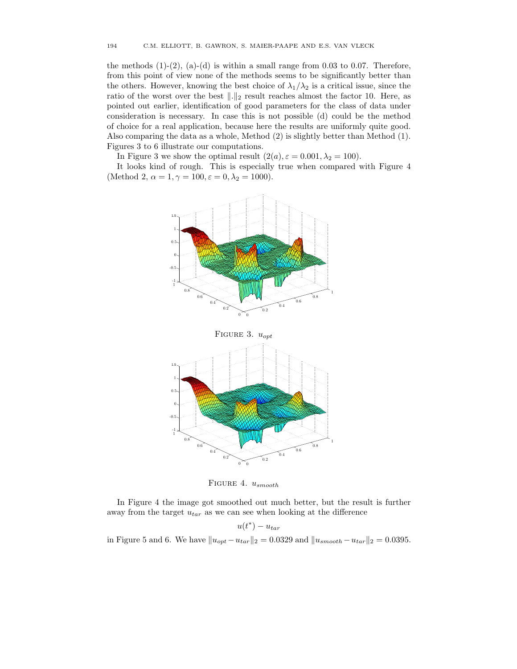the methods  $(1)-(2)$ ,  $(a)-(d)$  is within a small range from 0.03 to 0.07. Therefore, from this point of view none of the methods seems to be significantly better than the others. However, knowing the best choice of  $\lambda_1/\lambda_2$  is a critical issue, since the ratio of the worst over the best  $\|.\|_2$  result reaches almost the factor 10. Here, as pointed out earlier, identification of good parameters for the class of data under consideration is necessary. In case this is not possible (d) could be the method of choice for a real application, because here the results are uniformly quite good. Also comparing the data as a whole, Method (2) is slightly better than Method (1). Figures 3 to 6 illustrate our computations.

In Figure 3 we show the optimal result  $(2(a), \varepsilon = 0.001, \lambda_2 = 100)$ .

It looks kind of rough. This is especially true when compared with Figure 4 (Method 2,  $\alpha = 1, \gamma = 100, \varepsilon = 0, \lambda_2 = 1000$ ).



FIGURE 4.  $u_{smooth}$ 

In Figure 4 the image got smoothed out much better, but the result is further away from the target  $u_{tar}$  as we can see when looking at the difference

$$
u(t^*) - u_{tar}
$$

in Figure 5 and 6. We have  $||u_{opt}-u_{tar}||_2 = 0.0329$  and  $||u_{smooth}-u_{tar}||_2 = 0.0395$ .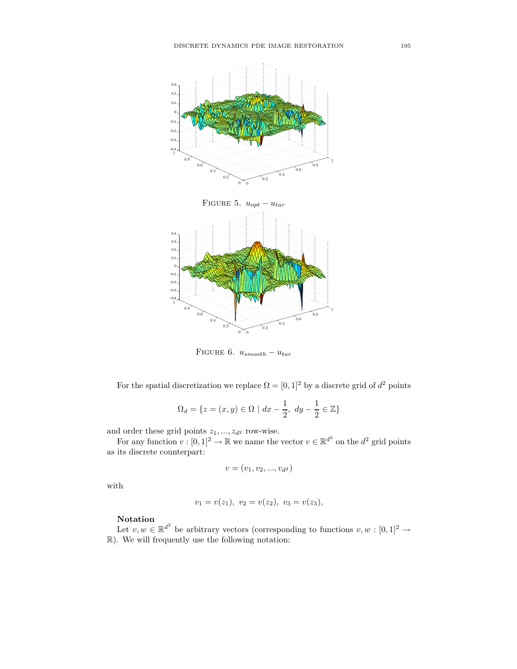

FIGURE 6.  $u_{smooth} - u_{tar}$ 

For the spatial discretization we replace  $\Omega = [0, 1]^2$  by a discrete grid of  $d^2$  points

$$
\Omega_d = \{ z = (x, y) \in \Omega \mid dx - \frac{1}{2}, dy - \frac{1}{2} \in \mathbb{Z} \}
$$

and order these grid points  $z_1, \ldots, z_{d^2}$  row-wise.

For any function  $v : [0,1]^2 \to \mathbb{R}$  we name the vector  $v \in \mathbb{R}^{d^2}$  on the  $d^2$  grid points as its discrete counterpart:

$$
v = (v_1, v_2, ..., v_{d^2})
$$

with

$$
v_1 = v(z_1), v_2 = v(z_2), v_3 = v(z_3),
$$

### Notation

Let  $v, w \in \mathbb{R}^{d^2}$  be arbitrary vectors (corresponding to functions  $v, w : [0, 1]^2 \to$ R). We will frequently use the following notation: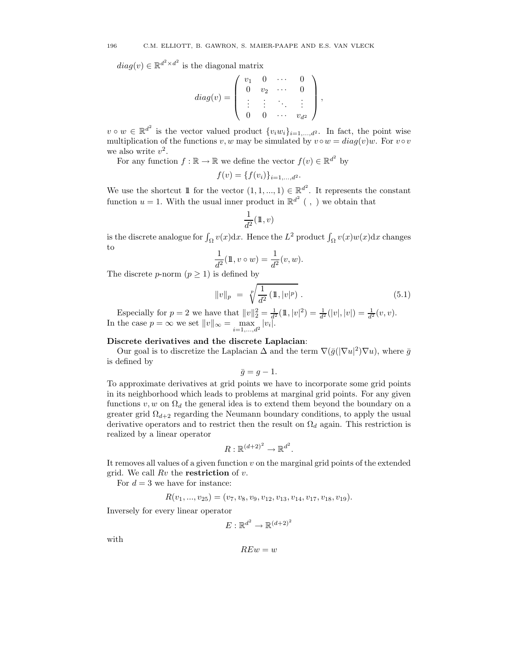$diag(v) \in \mathbb{R}^{d^2 \times d^2}$  is the diagonal matrix

$$
diag(v) = \left( \begin{array}{cccc} v_1 & 0 & \cdots & 0 \\ 0 & v_2 & \cdots & 0 \\ \vdots & \vdots & \ddots & \vdots \\ 0 & 0 & \cdots & v_{d^2} \end{array} \right),
$$

 $v \circ w \in \mathbb{R}^{d^2}$  is the vector valued product  $\{v_i w_i\}_{i=1,\dots,d^2}$ . In fact, the point wise multiplication of the functions v, w may be simulated by  $v \circ w = diag(v)w$ . For  $v \circ v$ we also write  $v^2$ .

For any function  $f : \mathbb{R} \to \mathbb{R}$  we define the vector  $f(v) \in \mathbb{R}^{d^2}$  by

$$
f(v) = \{f(v_i)\}_{i=1,\dots,d^2}.
$$

We use the shortcut 1 for the vector  $(1, 1, ..., 1) \in \mathbb{R}^{d^2}$ . It represents the constant function  $u = 1$ . With the usual inner product in  $\mathbb{R}^{d^2}$  (, ) we obtain that

$$
\frac{1}{d^2}(\mathbb{1},v)
$$

is the discrete analogue for  $\int_{\Omega} v(x) dx$ . Hence the  $L^2$  product  $\int_{\Omega} v(x)w(x) dx$  changes to

$$
\frac{1}{d^2}(\mathbb{1}, v \circ w) = \frac{1}{d^2}(v, w).
$$

The discrete p-norm  $(p \geq 1)$  is defined by

$$
||v||_p = \sqrt[p]{\frac{1}{d^2} (\mathbb{1}, |v|^p)}.
$$
\n(5.1)

Especially for  $p = 2$  we have that  $||v||_2^2 = \frac{1}{d^2}(\mathbb{1}, |v|^2) = \frac{1}{d^2}(|v|, |v|) = \frac{1}{d^2}(v, v)$ . In the case  $p = \infty$  we set  $||v||_{\infty} = \max_{i=1,...,d^2} |v_i|$ .

## Discrete derivatives and the discrete Laplacian:

Our goal is to discretize the Laplacian  $\Delta$  and the term  $\nabla(\bar{g}(|\nabla u|^2)\nabla u)$ , where  $\bar{g}$ is defined by

$$
\bar{g}=g-1.
$$

To approximate derivatives at grid points we have to incorporate some grid points in its neighborhood which leads to problems at marginal grid points. For any given functions  $v, w$  on  $\Omega_d$  the general idea is to extend them beyond the boundary on a greater grid  $\Omega_{d+2}$  regarding the Neumann boundary conditions, to apply the usual derivative operators and to restrict then the result on  $\Omega_d$  again. This restriction is realized by a linear operator

$$
R: \mathbb{R}^{(d+2)^2} \to \mathbb{R}^{d^2}
$$

.

It removes all values of a given function  $v$  on the marginal grid points of the extended grid. We call  $Rv$  the **restriction** of  $v$ .

For  $d = 3$  we have for instance:

$$
R(v_1, ..., v_{25}) = (v_7, v_8, v_9, v_{12}, v_{13}, v_{14}, v_{17}, v_{18}, v_{19}).
$$

Inversely for every linear operator

$$
E: \mathbb{R}^{d^2} \to \mathbb{R}^{(d+2)^2}
$$

with

$$
REw = w
$$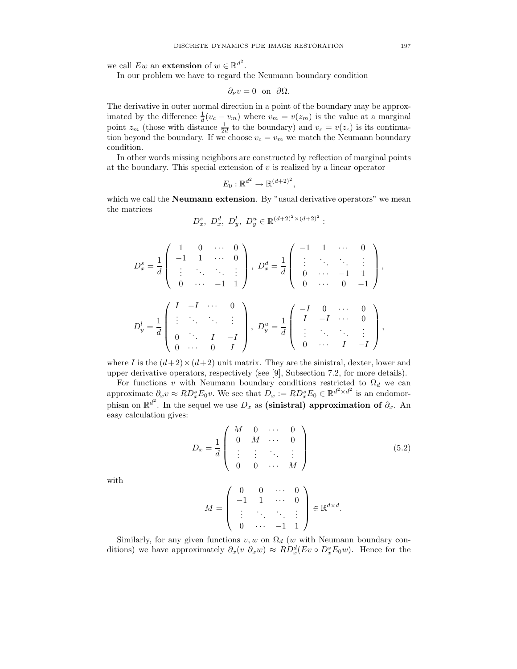we call  $Ew$  an **extension** of  $w \in \mathbb{R}^{d^2}$ .

In our problem we have to regard the Neumann boundary condition

$$
\partial_{\nu}v=0 \text{ on } \partial\Omega.
$$

The derivative in outer normal direction in a point of the boundary may be approximated by the difference  $\frac{1}{d}(v_c - v_m)$  where  $v_m = v(z_m)$  is the value at a marginal point  $z_m$  (those with distance  $\frac{1}{2d}$  to the boundary) and  $v_c = v(z_c)$  is its continuation beyond the boundary. If we choose  $v_c = v_m$  we match the Neumann boundary condition.

In other words missing neighbors are constructed by reflection of marginal points at the boundary. This special extension of  $v$  is realized by a linear operator

$$
E_0: \mathbb{R}^{d^2} \to \mathbb{R}^{(d+2)^2},
$$

which we call the **Neumann extension**. By "usual derivative operators" we mean the matrices

$$
D_x^s
$$
,  $D_x^d$ ,  $D_y^l$ ,  $D_y^u \in \mathbb{R}^{(d+2)^2 \times (d+2)^2}$ :

$$
D_x^s = \frac{1}{d} \begin{pmatrix} 1 & 0 & \cdots & 0 \\ -1 & 1 & \cdots & 0 \\ \vdots & \ddots & \ddots & \vdots \\ 0 & \cdots & -1 & 1 \end{pmatrix}, \ D_x^d = \frac{1}{d} \begin{pmatrix} -1 & 1 & \cdots & 0 \\ \vdots & \ddots & \ddots & \vdots \\ 0 & \cdots & -1 & 1 \\ 0 & \cdots & 0 & -1 \end{pmatrix},
$$
  

$$
D_y^l = \frac{1}{d} \begin{pmatrix} I & -I & \cdots & 0 \\ \vdots & \ddots & \ddots & \vdots \\ 0 & \cdots & I & -I \\ 0 & \cdots & 0 & I \end{pmatrix}, \ D_y^u = \frac{1}{d} \begin{pmatrix} -I & 0 & \cdots & 0 \\ I & -I & \cdots & 0 \\ \vdots & \ddots & \ddots & \vdots \\ 0 & \cdots & I & -I \end{pmatrix},
$$

where I is the  $(d+2) \times (d+2)$  unit matrix. They are the sinistral, dexter, lower and upper derivative operators, respectively (see [9], Subsection 7.2, for more details).

For functions v with Neumann boundary conditions restricted to  $\Omega_d$  we can approximate  $\partial_x v \approx R D_x^s E_0 v$ . We see that  $D_x := R D_x^s E_0 \in \mathbb{R}^{d^2 \times d^2}$  is an endomorphism on  $\mathbb{R}^{d^2}$ . In the sequel we use  $D_x$  as (sinistral) approximation of  $\partial_x$ . An easy calculation gives:

$$
D_x = \frac{1}{d} \begin{pmatrix} M & 0 & \cdots & 0 \\ 0 & M & \cdots & 0 \\ \vdots & \vdots & \ddots & \vdots \\ 0 & 0 & \cdots & M \end{pmatrix}
$$
 (5.2)

with

$$
M = \left( \begin{array}{ccccc} 0 & 0 & \cdots & 0 \\ -1 & 1 & \cdots & 0 \\ \vdots & \ddots & \ddots & \vdots \\ 0 & \cdots & -1 & 1 \end{array} \right) \in \mathbb{R}^{d \times d}.
$$

Similarly, for any given functions  $v, w$  on  $\Omega_d$  (w with Neumann boundary conditions) we have approximately  $\partial_x(v \partial_x w) \approx R D_x^d(Ev \circ D_x^s E_0 w)$ . Hence for the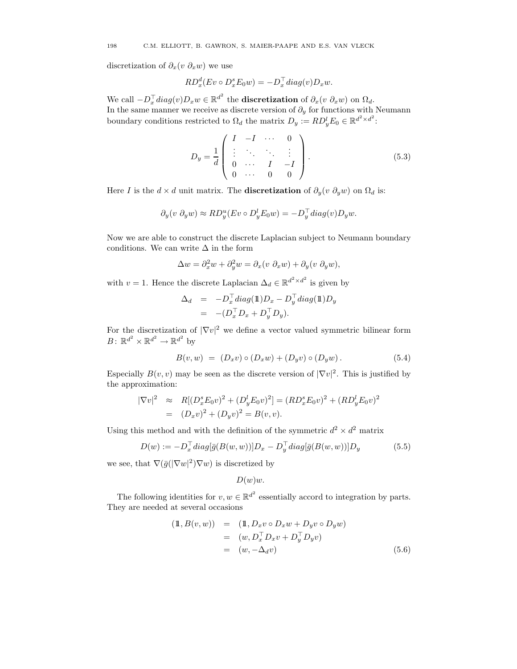discretization of  $\partial_x(v \partial_x w)$  we use

$$
RD_x^d(Ev \circ D_x^s E_0 w) = -D_x^{\top} diag(v) D_x w.
$$

We call  $-D_x^{\top} diag(v)D_x w \in \mathbb{R}^{d^2}$  the **discretization** of  $\partial_x(v \partial_x w)$  on  $\Omega_d$ . In the same manner we receive as discrete version of  $\partial_y$  for functions with Neumann boundary conditions restricted to  $\Omega_d$  the matrix  $D_y := RD_y^l E_0 \in \mathbb{R}^{d^2 \times d^2}$ :

$$
D_{y} = \frac{1}{d} \begin{pmatrix} I & -I & \cdots & 0 \\ \vdots & \ddots & \ddots & \vdots \\ 0 & \cdots & I & -I \\ 0 & \cdots & 0 & 0 \end{pmatrix} .
$$
 (5.3)

Here I is the  $d \times d$  unit matrix. The **discretization** of  $\partial_u(v \partial_y w)$  on  $\Omega_d$  is:

$$
\partial_y(v \ \partial_y w) \approx R D_y^u(Ev \circ D_y^l E_0 w) = -D_y^{\top} diag(v) D_y w.
$$

Now we are able to construct the discrete Laplacian subject to Neumann boundary conditions. We can write  $\Delta$  in the form

$$
\Delta w = \partial_x^2 w + \partial_y^2 w = \partial_x (v \ \partial_x w) + \partial_y (v \ \partial_y w),
$$

with  $v = 1$ . Hence the discrete Laplacian  $\Delta_d \in \mathbb{R}^{d^2 \times d^2}$  is given by

$$
\Delta_d = -D_x^{\top} diag(\mathbb{1})D_x - D_y^{\top} diag(\mathbb{1})D_y
$$
  
= 
$$
-(D_x^{\top} D_x + D_y^{\top} D_y).
$$

For the discretization of  $|\nabla v|^2$  we define a vector valued symmetric bilinear form  $B\colon \mathbb{R}^{d^2} \times \mathbb{R}^{d^2} \to \mathbb{R}^{d^2}$  by

$$
B(v, w) = (D_x v) \circ (D_x w) + (D_y v) \circ (D_y w).
$$
 (5.4)

Especially  $B(v, v)$  may be seen as the discrete version of  $|\nabla v|^2$ . This is justified by the approximation:

$$
|\nabla v|^2 \approx R[(D_x^s E_0 v)^2 + (D_y^l E_0 v)^2] = (R D_x^s E_0 v)^2 + (R D_y^l E_0 v)^2
$$
  
= 
$$
(D_x v)^2 + (D_y v)^2 = B(v, v).
$$

Using this method and with the definition of the symmetric  $d^2 \times d^2$  matrix

$$
D(w) := -D_x^{\top} diag[\bar{g}(B(w, w))]D_x - D_y^{\top} diag[\bar{g}(B(w, w))]D_y \qquad (5.5)
$$

we see, that  $\nabla(\bar{g}(|\nabla w|^2)\nabla w)$  is discretized by

$$
D(w)w.
$$

The following identities for  $v, w \in \mathbb{R}^{d^2}$  essentially accord to integration by parts. They are needed at several occasions

$$
\begin{aligned} (\mathbb{1}, B(v, w)) &= (\mathbb{1}, D_x v \circ D_x w + D_y v \circ D_y w) \\ &= (w, D_x^\top D_x v + D_y^\top D_y v) \\ &= (w, -\Delta_d v) \end{aligned} \tag{5.6}
$$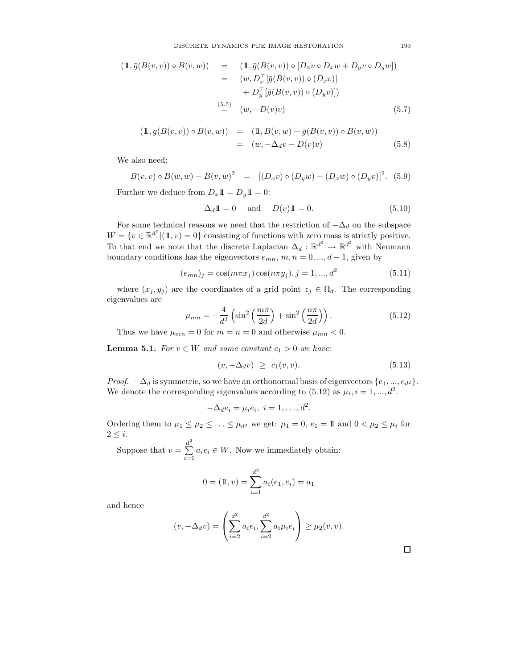$$
\begin{array}{rcl}\n(\mathbb{1}, \bar{g}(B(v, v)) \circ B(v, w)) & = & (\mathbb{1}, \bar{g}(B(v, v)) \circ [D_x v \circ D_x w + D_y v \circ D_y w]) \\
& = & (w, D_x^\top [\bar{g}(B(v, v)) \circ (D_x v)] \\
& + D_y^\top [\bar{g}(B(v, v)) \circ (D_y v)]) \\
& \stackrel{(5.5)}{=} & (w, -D(v)v)\n\end{array} \tag{5.7}
$$

$$
\begin{array}{rcl} (\mathbb{1}, g(B(v, v)) \circ B(v, w)) & = & (\mathbb{1}, B(v, w) + \bar{g}(B(v, v)) \circ B(v, w)) \\ & = & (w, -\Delta_d v - D(v)v) \end{array} \tag{5.8}
$$

We also need:

$$
B(v, v) \circ B(w, w) - B(v, w)^{2} = [(D_x v) \circ (D_y w) - (D_x w) \circ (D_y v)]^{2}. (5.9)
$$

Further we deduce from  $D_x 1 \! 1 = D_y 1 \! 1 = 0$ :

$$
\Delta_d \mathbb{1} = 0 \quad \text{and} \quad D(v) \mathbb{1} = 0. \tag{5.10}
$$

For some technical reasons we need that the restriction of  $-\Delta_d$  on the subspace  $W = \{v \in \mathbb{R}^{d^2} | (\mathbb{1}, v) = 0\}$  consisting of functions with zero mass is strictly positive. To that end we note that the discrete Laplacian  $\Delta_d : \mathbb{R}^{d^2} \to \mathbb{R}^{d^2}$  with Neumann boundary conditions has the eigenvectors  $e_{mn}$ ,  $m, n = 0, ..., d - 1$ , given by

$$
(e_{mn})_j = \cos(m\pi x_j)\cos(n\pi y_j), j = 1, ..., d^2
$$
\n(5.11)

where  $(x_j, y_j)$  are the coordinates of a grid point  $z_j \in \Omega_d$ . The corresponding eigenvalues are

$$
\mu_{mn} = -\frac{4}{d^2} \left( \sin^2 \left( \frac{m\pi}{2d} \right) + \sin^2 \left( \frac{n\pi}{2d} \right) \right). \tag{5.12}
$$

Thus we have  $\mu_{mn} = 0$  for  $m = n = 0$  and otherwise  $\mu_{mn} < 0$ .

**Lemma 5.1.** For  $v \in W$  and some constant  $c_1 > 0$  we have:

$$
(v, -\Delta_d v) \ge c_1(v, v). \tag{5.13}
$$

*Proof.*  $-\Delta_d$  is symmetric, so we have an orthonormal basis of eigenvectors  $\{e_1, ..., e_{d^2}\}.$ We denote the corresponding eigenvalues according to  $(5.12)$  as  $\mu_i, i = 1, ..., d^2$ .

$$
-\Delta_d e_i = \mu_i e_i, \ i = 1, \dots, d^2.
$$

Ordering them to  $\mu_1 \leq \mu_2 \leq \ldots \leq \mu_{d^2}$  we get:  $\mu_1 = 0$ ,  $e_1 = 11$  and  $0 < \mu_2 \leq \mu_i$  for  $2 \leq i$ .

Suppose that  $v = \sum^{d^2}$  $\sum_{i=1} a_i e_i \in W$ . Now we immediately obtain:

$$
0 = (\mathbb{1}, v) = \sum_{i=1}^{d^2} a_i(e_1, e_i) = a_1
$$

and hence

$$
(v, -\Delta_d v) = \left(\sum_{i=2}^{d^2} a_i e_i, \sum_{i=2}^{d^2} a_i \mu_i e_i\right) \ge \mu_2(v, v).
$$

 $\Box$